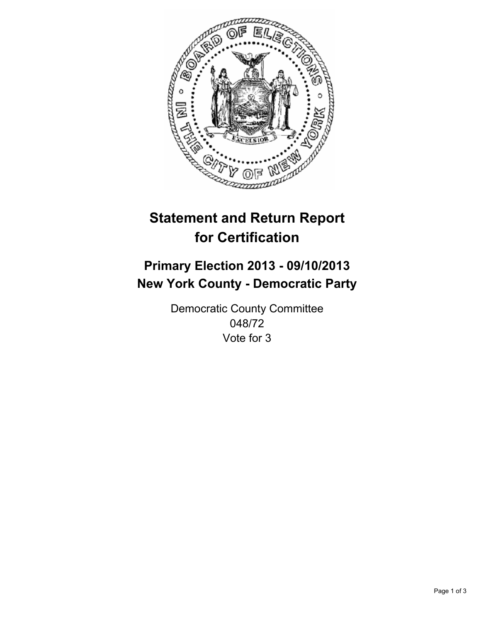

# **Statement and Return Report for Certification**

# **Primary Election 2013 - 09/10/2013 New York County - Democratic Party**

Democratic County Committee 048/72 Vote for 3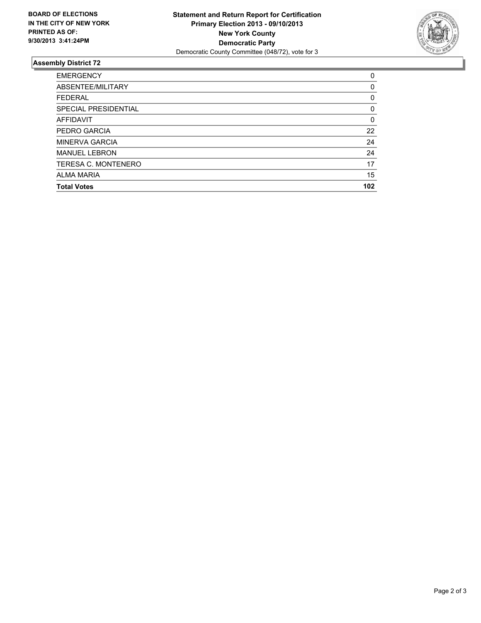

## **Assembly District 72**

| <b>EMERGENCY</b>           | 0   |
|----------------------------|-----|
| ABSENTEE/MILITARY          | 0   |
| <b>FEDERAL</b>             | 0   |
| SPECIAL PRESIDENTIAL       | 0   |
| <b>AFFIDAVIT</b>           | 0   |
| PEDRO GARCIA               | 22  |
| <b>MINERVA GARCIA</b>      | 24  |
| <b>MANUEL LEBRON</b>       | 24  |
| <b>TERESA C. MONTENERO</b> | 17  |
| <b>ALMA MARIA</b>          | 15  |
| <b>Total Votes</b>         | 102 |